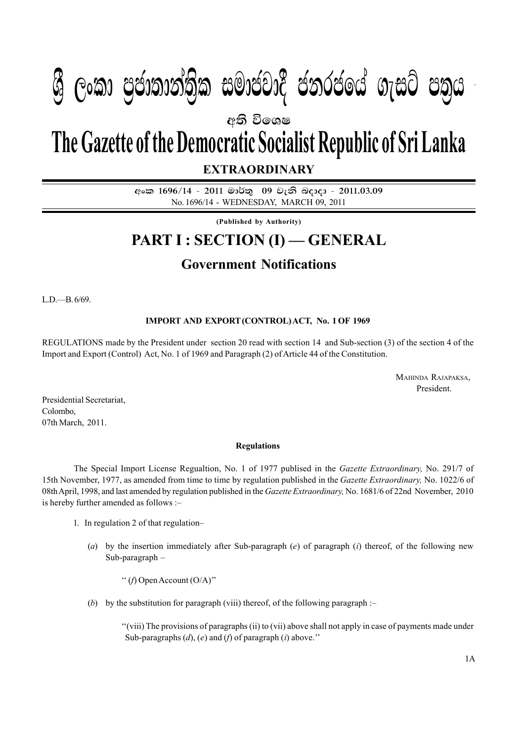## $\ell$  **be**  $\ell \geq 0$  s  $\ell \geq 0$  ,  $\ell \geq 0$  $\mathbb{P}_p$  :  $\mathbb{P}_p$  ,  $\mathbb{P}_p$  of  $\mathbb{P}_p$  and  $\mathbb{P}_p$  and  $\mathbb{P}_p$  and  $\mathbb{P}_p$  and  $\mathbb{P}_p$  and  $\mathbb{P}_p$  and  $\mathbb{P}_p$  and  $\mathbb{P}_p$  and  $\mathbb{P}_p$  and  $\mathbb{P}_p$  and  $\mathbb{P}_p$  and  $\mathbb{P}_p$  and  $\mathbb{P}_p$  and  $\$  $\mathcal{B}$  George Constanting)ක සමාප්තාර ප්නාර්ථිකය ගැසර ප්නිෆ

අති වි**ං**ශෂ

# **The Gazette of the Democratic Socialist Republic of Sri Lanka**

**EXTRAORDINARY**

අංක 1696/14 - 2011 මාර්තු 09 වැනි බදාදා - 2011.03.09 No. 1696/14 - WEDNESDAY, MARCH 09, 2011

**(Published by Authority)**

## **PART I : SECTION (I) — GENERAL**

## **Government Notifications**

L.D.—B. 6/69.

### **IMPORT AND EXPORT (CONTROL) ACT, No. 1 OF 1969**

REGULATIONS made by the President under section 20 read with section 14 and Sub-section (3) of the section 4 of the Import and Export (Control) Act, No. 1 of 1969 and Paragraph (2) of Article 44 of the Constitution.

> MAHINDA RAJAPAKSA, President.

Presidential Secretariat, Colombo, 07th March, 2011.

#### **Regulations**

The Special Import License Regualtion, No. 1 of 1977 publised in the *Gazette Extraordinary,* No. 291/7 of 15th November, 1977, as amended from time to time by regulation published in the *Gazette Extraordinary,* No. 1022/6 of 08th April, 1998, and last amended by regulation published in the *Gazette Extraordinary,* No. 1681/6 of 22nd November, 2010 is hereby further amended as follows :–

- 1. In regulation 2 of that regulation–
	- (*a*) by the insertion immediately after Sub-paragraph (*e*) of paragraph (*i*) thereof, of the following new Sub-paragraph –

'' (*f*) Open Account (O/A)''

(*b*) by the substitution for paragraph (viii) thereof, of the following paragraph :–

''(viii) The provisions of paragraphs (ii) to (vii) above shall not apply in case of payments made under Sub-paragraphs (*d*), (*e*) and (*f*) of paragraph (*i*) above.''